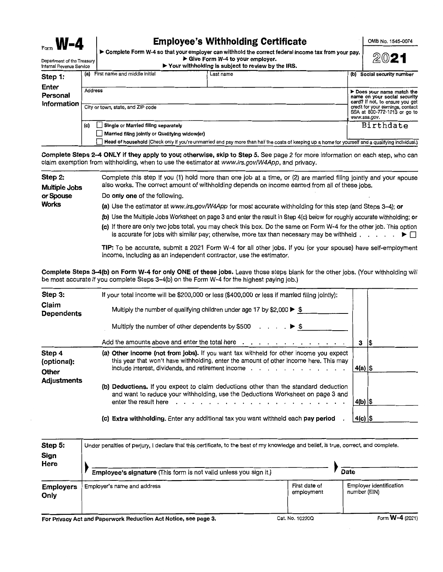Form  $\mathbf{W}$   $\mathbf{A}$   $\bullet$  Complete Form W-4 so that your employer can withhold the correct federal income tax from your pay.  $\mathbb{R}^{D}$ Internal Revenue Service ► **Your withholding is subject to review by the IRS.** 

| memal Revenue Service            |                |                                                                                       | $\triangleright$ rour withholding is subject to review by the ins.                                                                                 |                                                                                                                                                                                  |  |  |
|----------------------------------|----------------|---------------------------------------------------------------------------------------|----------------------------------------------------------------------------------------------------------------------------------------------------|----------------------------------------------------------------------------------------------------------------------------------------------------------------------------------|--|--|
| Step 1:                          | (a)            | First name and middle initial                                                         | Last name                                                                                                                                          | (b) Social security number                                                                                                                                                       |  |  |
| Enter<br>Personal<br>Information | <b>Address</b> | City or town, state, and ZIP code                                                     |                                                                                                                                                    | Does your name match the<br>name on your social security<br>card? If not, to ensure you get<br>credit for your earnings, contact<br>SSA at 800-772-1213 or go to<br>www.ssa.gov. |  |  |
|                                  | (c)            | Single or Married filing separately<br>Married filing jointly or Qualifying widow(er) |                                                                                                                                                    | Birthdate                                                                                                                                                                        |  |  |
|                                  |                |                                                                                       | Head of household (Check only if you're unmarried and pay more than half the costs of keeping up a home for yourself and a qualifying individual.) |                                                                                                                                                                                  |  |  |

**Complete Steps 2-4 ONLY if they apply to you; otherwise, skip to Step 5.** See page 2 for more information on each step, who can claim exemption from withholding, when to use the estimator at www.irs.gov/W4App, and privacy.

| Step 2:<br><b>Multiple Jobs</b> | Complete this step if you (1) hold more than one job at a time, or (2) are married filing jointly and your spouse<br>also works. The correct amount of withholding depends on income earned from all of these jobs.                                     |  |  |  |  |  |  |  |
|---------------------------------|---------------------------------------------------------------------------------------------------------------------------------------------------------------------------------------------------------------------------------------------------------|--|--|--|--|--|--|--|
| or Spouse                       | Do only one of the following.                                                                                                                                                                                                                           |  |  |  |  |  |  |  |
| <b>Works</b>                    | (a) Use the estimator at www.irs.gov/W4App for most accurate withholding for this step (and Steps 3-4); or                                                                                                                                              |  |  |  |  |  |  |  |
|                                 | (b) Use the Multiple Jobs Worksheet on page 3 and enter the result in Step 4(c) below for roughly accurate withholding; or                                                                                                                              |  |  |  |  |  |  |  |
|                                 | (c) If there are only two jobs total, you may check this box. Do the same on Form W-4 for the other job. This option<br>is accurate for jobs with similar pay; otherwise, more tax than necessary may be withheld $\ldots$ , $\blacktriangleright \Box$ |  |  |  |  |  |  |  |
|                                 | TIP: To be accurate, submit a 2021 Form W-4 for all other jobs. If you (or your spouse) have self-employment<br>income, including as an independent contractor, use the estimator.                                                                      |  |  |  |  |  |  |  |

**Complete Steps 3-4(b) on Form W-4 for only ONE of these jobs.** Leave those steps blank for the other jobs. (Your withholding will be most accurate if you complete Steps 3-4(b) on the Form W-4 for the highest paying job.)

| Step 3:<br>Claim<br><b>Dependents</b>                | If your total income will be \$200,000 or less (\$400,000 or less if married filing jointly):<br>Multiply the number of qualifying children under age 17 by \$2,000 $\blacktriangleright$ \$<br>Multiply the number of other dependents by \$500 $\ldots$ $\ldots$ $\blacktriangleright$ \$                                                                                                              |           |          |
|------------------------------------------------------|----------------------------------------------------------------------------------------------------------------------------------------------------------------------------------------------------------------------------------------------------------------------------------------------------------------------------------------------------------------------------------------------------------|-----------|----------|
|                                                      | Add the amounts above and enter the total here                                                                                                                                                                                                                                                                                                                                                           | 3         | 1\$      |
| Step 4<br>(optional):<br>Other<br><b>Adjustments</b> | (a) Other income (not from jobs). If you want tax withheld for other income you expect<br>this year that won't have withholding, enter the amount of other income here. This may<br>include interest, dividends, and retirement income $\cdots$ , $\cdots$ , $\cdots$ , $\cdots$ , $\cdots$                                                                                                              | 4(a)  \$  |          |
|                                                      | (b) Deductions. If you expect to claim deductions other than the standard deduction<br>and want to reduce your withholding, use the Deductions Worksheet on page 3 and<br>enter the result here result is a contracted by respectively. The contracted by results and the contracted by results and the contracted by results and the contracted by results and the contracted by results and the contra |           | 4(b)  \$ |
|                                                      | (c) Extra withholding. Enter any additional tax you want withheld each pay period                                                                                                                                                                                                                                                                                                                        | $4(c)$ \$ |          |

| Step 5:<br>Sign<br>Here  | Under penalties of perjury, I declare that this certificate, to the best of my knowledge and belief, is true, correct, and complete.<br>Employee's signature (This form is not valid unless you sign it.) |                             | Date                                                |
|--------------------------|-----------------------------------------------------------------------------------------------------------------------------------------------------------------------------------------------------------|-----------------------------|-----------------------------------------------------|
| <b>Employers</b><br>Only | Employer's name and address                                                                                                                                                                               | First date of<br>employment | <b>Employer identification</b><br>number (EIN)<br>. |

**For Privacy Act and Paperwork Reduction Act Notice, see page 3.** Cat. No. 10220Q Form W-4 (2021)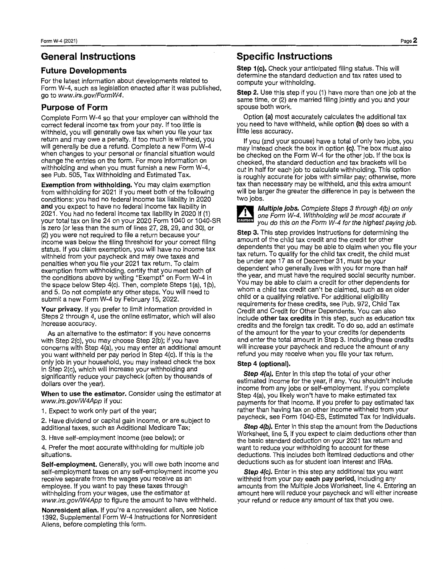# **General Instructions**

## **Future Developments**

For the latest information about developments related to Form W-4, such as legislation enacted after it was published, go to www.irs.gov/FormW4.

## **Purpose of Form**

Complete Form W-4 so that your employer can withhold the correct federal income tax from your pay. If too little is withheld, you will generally owe tax when you file your tax return and may owe a penalty. If too much is withheld, you will generally be due a refund. Complete a new Form W-4 when changes to your personal or financial situation would change the entries on the form. For more information on withholding and when you must furnish a new Form W-4, see Pub. 505, Tax Withholding and Estimated Tax.

**Exemption from withholding.** You may claim exemption from withholding for 2021 if you meet both of the following conditions: you had no federal income tax liability in 2020 **and** you expect to have no federal income tax liability in 2021. You had no federal income tax liability in 2020 if (1) your total tax on line 24 on your 2020 Form 1040 or 1040-SR is zero (or less than the sum of lines 27, 28, 29, and 30), or (2) you were not required to file a return because your income was below the filing threshold for your correct filing status. If you claim exemption, you will have no income tax withheld from your paycheck and may owe taxes and penalties when you file your 2021 tax return. To claim exemption from withholding, certify that you meet both of the conditions above by writing "Exempt" on Form W-4 in the space below Step 4(c). Then, complete Steps 1 (a), 1 (b), and 5. Do not complete any other steps. You will need to submit a new Form W-4 by February 15, 2022.

Your privacy. If you prefer to limit information provided in Steps 2 through 4, use the online estimator, which will also increase accuracy.

As an alternative to the estimator: if you have concerns with Step 2(c), you may choose Step 2(b); if you have concerns with Step 4(a), you may enter an additional amount you want withheld per pay period in Step 4(c). If this is the only job in your household, you may instead check the box in Step 2(c), which will increase your withholding and significantly reduce your paycheck (often by thousands of dollars over the year).

**When to use the estimator.** Consider using the estimator at www.irs.gov/W4App if you:

1. Expect to work only part of the year;

2. Have dividend or capital gain income, or are subject to additional taxes, such as Additional Medicare Tax;

3. Have self-employment income (see below); or

4. Prefer the most accurate withholding for multiple job situations.

**Self-employment.** Generally, you will owe both income and self-employment taxes on any self-employment income you receive separate from the wages you receive as an employee. If you want to pay these taxes through withholding from your wages, use the estimator at www.irs.gov/W4App to figure the amount to have withheld.

**Nonresident alien.** If you're a nonresident alien, see Notice 1392, Supplemental Form W-4 Instructions for Nonresident Aliens, before completing this form.

# **Specific Instructions**

Step 1(c). Check your anticipated filing status. This will determine the standard deduction and tax rates used to compute your withholding.

**Step 2.** Use this step if you (1) have more than one job at the same time, or (2) are married filing jointly and you and your spouse both work.

Option **(a)** most accurately calculates the additional tax you need to have withheld, while option **(b)** does so with a little less accuracy.

If you (and your spouse) have a total of only two jobs, you may instead check the box in option **(c).** The box must also be checked on the Form W-4 for the other job. If the box is checked, the standard deduction and tax brackets will be cut in half for each job to calculate withholding. This option is roughly accurate for jobs with similar pay; otherwise, more tax than necessary may be withheld, and this extra amount will be larger the greater the difference in pay is between the two jobs.



**Multiple jobs.** Complete Steps 3 through 4(b) on only one Form W-4. Withholding will be most accurate if you do this on the Form W-4 for the highest paying job.

**Step 3.** This step provides instructions for determining the amount of the child tax credit and the credit for other dependents that you may be able to claim when you file your tax return. To qualify for the child tax credit, the child must be under age 17 as of December 31, must be your dependent who generally lives with you for more than half the year, and must have the required social security number. You may be able to claim a credit for other dependents for whom a child tax credit can't be claimed, such as an older child or a qualifying relative. For additional eligibility requirements for these credits, see Pub. 972, Child Tax Credit and Credit for Other Dependents. You can also include **other tax credits** in this step, such as education tax credits and the foreign tax credit. To do so, add an estimate of the amount for the year to your credits for dependents and enter the total amount in Step 3. Including these credits will increase your paycheck and reduce the amount of any refund you may receive when you file your tax return.

### **Step 4 (optional).**

**Step 4(a).** Enter in this step the total of your other estimated income for the year, if any. You shouldn't include income from any jobs or self-employment. If you complete Step 4(a), you likely won't have to make estimated tax payments for that income. If you prefer to pay estimated tax rather than having tax on other income withheld from your paycheck, see Form 1040-ES, Estimated Tax for Individuals.

Step 4(b). Enter in this step the amount from the Deductions Worksheet, line 5, if you expect to claim deductions other than the basic standard deduction on your 2021 tax return and want to reduce your withholding to account for these deductions. This includes both itemized deductions and other deductions such as for student loan interest and IRAs.

Step 4(c). Enter in this step any additional tax you want withheld from your pay **each pay period,** including any amounts from the Multiple Jobs Worksheet, line 4. Entering an amount here will reduce your paycheck and will either increase your refund or reduce any amount of tax that you owe.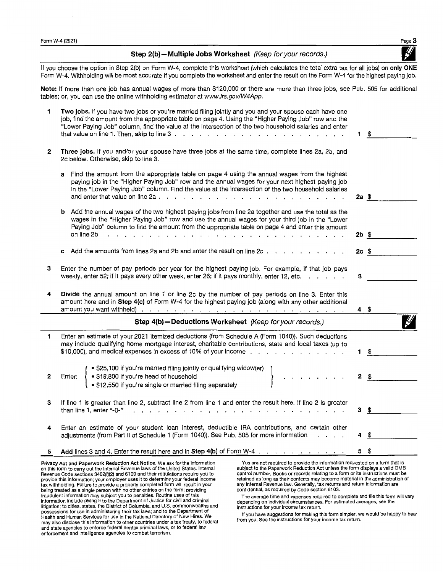**Step 2(b)- Multiple Jobs Worksheet** (Keep for your records.)

If you choose the option in Step 2(b) on Form W-4, complete this worksheet (which calculates the total extra tax for all jobs) on **only ONE**  Form W-4. Withholding will be most accurate if you complete the worksheet and enter the result on the Form W-4 for the highest paying job.

**Note:** If more than one job has annual wages of more than \$120,000 or there are more than three jobs, see Pub. 505 for additional tables; or, you can use the online withholding estimator at www.irs.gov/W4App.

| 1 | Two jobs. If you have two jobs or you're married filing jointly and you and your spouse each have one<br>job, find the amount from the appropriate table on page 4. Using the "Higher Paying Job" row and the<br>"Lower Paying Job" column, find the value at the intersection of the two household salaries and enter                                                                                                                                                                                                                                            | 1.              | \$   |
|---|-------------------------------------------------------------------------------------------------------------------------------------------------------------------------------------------------------------------------------------------------------------------------------------------------------------------------------------------------------------------------------------------------------------------------------------------------------------------------------------------------------------------------------------------------------------------|-----------------|------|
| 2 | Three jobs. If you and/or your spouse have three jobs at the same time, complete lines 2a, 2b, and<br>2c below. Otherwise, skip to line 3.                                                                                                                                                                                                                                                                                                                                                                                                                        |                 |      |
|   | Find the amount from the appropriate table on page 4 using the annual wages from the highest<br>a<br>paying job in the "Higher Paying Job" row and the annual wages for your next highest paying job<br>in the "Lower Paying Job" column. Find the value at the intersection of the two household salaries                                                                                                                                                                                                                                                        | 2a <sub>5</sub> |      |
|   | <b>b</b> Add the annual wages of the two highest paying jobs from line 2a together and use the total as the<br>wages in the "Higher Paying Job" row and use the annual wages for your third job in the "Lower<br>Paying Job" column to find the amount from the appropriate table on page 4 and enter this amount<br>on line 2b<br>the contract of the contract of the contract of the contract of the contract of the contract of the contract of the contract of the contract of the contract of the contract of the contract of the contract of the contract o | $2b$ \$         |      |
|   | c Add the amounts from lines 2a and 2b and enter the result on line $2c \cdot \cdot \cdot \cdot \cdot \cdot \cdot \cdot \cdot$                                                                                                                                                                                                                                                                                                                                                                                                                                    | $2c$ \$         |      |
| 3 | Enter the number of pay periods per year for the highest paying job. For example, if that job pays<br>weekly, enter 52; if it pays every other week, enter 26; if it pays monthly, enter 12, etc.                                                                                                                                                                                                                                                                                                                                                                 | 3               |      |
| 4 | Divide the annual amount on line 1 or line 2c by the number of pay periods on line 3. Enter this<br>amount here and in Step 4(c) of Form W-4 for the highest paying job (along with any other additional                                                                                                                                                                                                                                                                                                                                                          | 4\$             |      |
|   | Step 4(b) - Deductions Worksheet (Keep for your records.)                                                                                                                                                                                                                                                                                                                                                                                                                                                                                                         |                 |      |
| 1 | Enter an estimate of your 2021 itemized deductions (from Schedule A (Form 1040)). Such deductions<br>may include qualifying home mortgage interest, charitable contributions, state and local taxes (up to                                                                                                                                                                                                                                                                                                                                                        | $1 \quad$       |      |
| 2 | . \$25,100 if you're married filing jointly or qualifying widow(er)<br>• \$18,800 if you're head of household<br>Enter:<br>. \$12,550 if you're single or married filing separately                                                                                                                                                                                                                                                                                                                                                                               | $2 \quad$       |      |
| з | If line 1 is greater than line 2, subtract line 2 from line 1 and enter the result here. If line 2 is greater<br>than line 1, enter "-0-"<br>والمتحاول والمتحاول والمتحاول والمتحاولة والمتحاولة والمتحاولة والمتحاولة والمتحاولة                                                                                                                                                                                                                                                                                                                                 | з               | \$   |
| 4 | Enter an estimate of your student loan interest, deductible IRA contributions, and certain other<br>adjustments (from Part II of Schedule 1 (Form 1040)). See Pub. 505 for more information                                                                                                                                                                                                                                                                                                                                                                       | 4               | - \$ |
| 5 | Add lines 3 and 4. Enter the result here and in Step 4(b) of Form W-4.                                                                                                                                                                                                                                                                                                                                                                                                                                                                                            | 5               | £.   |

**Privacy Act and Paperwork Reduction Act Notice.** We ask for the information on this form to carry out the Internal Revenue laws of the United States. Internal Revenue Code sections 3402(1)(2} and 6109 and their regulations require you to provide this information; your employer uses it to determine your federal income tax withholding. Failure to provide a properly completed form will result in your being treated as a single person with no other entries on the form; providing fraudulent information may subject you to penalties. Routine uses of this<br>information include giving it to the Department of Justice for civil and criminal<br>litigation; to cities, states, the District of Columbia, and U.S. possessions for use in administering their tax laws; and to the Department of Health and Human Services for use in the National Directory of New Hires. We may also disclose this information to other countries under a tax treaty, to federal and state agencies to enforce federal nontax criminal laws, or to federal law enforcement and intelligence agencies to combat terrorism.

You are not required to provide the information requested on a form that is subject to the Paperwork Reduction Act unless the form displays a valid 0MB control number. Books or records relating to a form or its instructions must be retained as long as their contents may become material in the administration of any Internal Revenue law. Generally, tax returns and return information are confidential, as required by Code section 6103.

The average time and expenses required to complete and file this form will vary depending on individual circumstances. For estimated averages, see the instructions for your income tax return.

If you have suggestions for making this form simpler, we would be happy to hear from you. See the instructions for your income tax return.